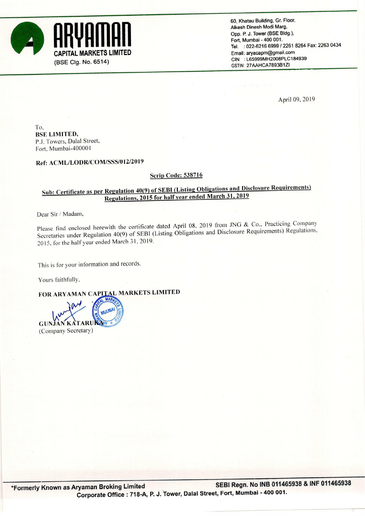

60, Khatau Building, Gr. Floor, Alkesh Dinesh Modi Marg. . Opp. P. J. Tower (BSE Bldg), Fort, Mumbai - 400 001. CAPITAL MARKETS LIMITED<br>
CAPITAL MARKETS LIMITED<br>
CIN : L65999MH2008PLC184939<br>
CIN : L65999MH2008PLC184939 GSTIN: 27AAHCA789381ZI

April 09, 2019

To, BSE LIMITED, PJ. Towers. Dalal Street, Fort. Mumbai-400001

## Ref: ACML/LODR/COM/SSS/OIZ/2019

### **Scrip Code: 538716**

## Sub: Certificate as per Regulation 40(9) of SEBI (Listing Obligations and Disclosure Requirements) Regulations, <sup>2015</sup> for half year ended March 31. <sup>2019</sup>

Dear Sir/ Madam,

Please find enclosed herewith the certificate dated April 08, 2019 from JNG & Co., Practicing Company Secretaries under Regulation 40(9) of SEBI (Listing Obligations and Disclosure Requirements) Regulations, 2015. for the halfyear ended March 31. 2019.

This is for your information and records.

Yours faithfully,

FOR ARYAMAN CAPITAL MARKETS LIMITED